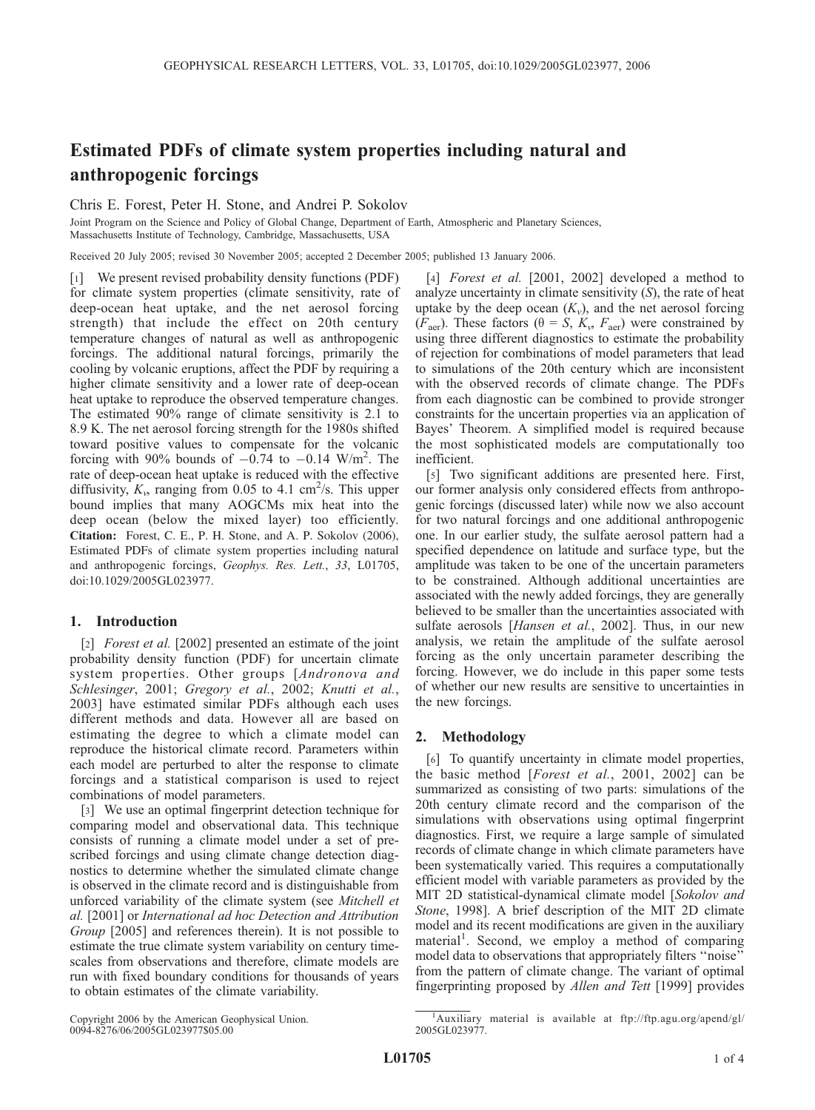# Estimated PDFs of climate system properties including natural and anthropogenic forcings

Chris E. Forest, Peter H. Stone, and Andrei P. Sokolov

Joint Program on the Science and Policy of Global Change, Department of Earth, Atmospheric and Planetary Sciences, Massachusetts Institute of Technology, Cambridge, Massachusetts, USA

Received 20 July 2005; revised 30 November 2005; accepted 2 December 2005; published 13 January 2006.

[1] We present revised probability density functions (PDF) for climate system properties (climate sensitivity, rate of deep-ocean heat uptake, and the net aerosol forcing strength) that include the effect on 20th century temperature changes of natural as well as anthropogenic forcings. The additional natural forcings, primarily the cooling by volcanic eruptions, affect the PDF by requiring a higher climate sensitivity and a lower rate of deep-ocean heat uptake to reproduce the observed temperature changes. The estimated 90% range of climate sensitivity is 2.1 to 8.9 K. The net aerosol forcing strength for the 1980s shifted toward positive values to compensate for the volcanic forcing with 90% bounds of  $-0.74$  to  $-0.14$  W/m<sup>2</sup>. The rate of deep-ocean heat uptake is reduced with the effective diffusivity,  $K_v$ , ranging from 0.05 to 4.1 cm<sup>2</sup>/s. This upper bound implies that many AOGCMs mix heat into the deep ocean (below the mixed layer) too efficiently. Citation: Forest, C. E., P. H. Stone, and A. P. Sokolov (2006), Estimated PDFs of climate system properties including natural and anthropogenic forcings, Geophys. Res. Lett., 33, L01705, doi:10.1029/2005GL023977.

# 1. Introduction

[2] *Forest et al.* [2002] presented an estimate of the joint probability density function (PDF) for uncertain climate system properties. Other groups [Andronova and Schlesinger, 2001; Gregory et al., 2002; Knutti et al., 2003] have estimated similar PDFs although each uses different methods and data. However all are based on estimating the degree to which a climate model can reproduce the historical climate record. Parameters within each model are perturbed to alter the response to climate forcings and a statistical comparison is used to reject combinations of model parameters.

[3] We use an optimal fingerprint detection technique for comparing model and observational data. This technique consists of running a climate model under a set of prescribed forcings and using climate change detection diagnostics to determine whether the simulated climate change is observed in the climate record and is distinguishable from unforced variability of the climate system (see Mitchell et al. [2001] or International ad hoc Detection and Attribution Group [2005] and references therein). It is not possible to estimate the true climate system variability on century timescales from observations and therefore, climate models are run with fixed boundary conditions for thousands of years to obtain estimates of the climate variability.

[4] Forest et al. [2001, 2002] developed a method to analyze uncertainty in climate sensitivity  $(S)$ , the rate of heat uptake by the deep ocean  $(K_v)$ , and the net aerosol forcing ( $F_{\text{aer}}$ ). These factors ( $\theta = S$ ,  $K_v$ ,  $F_{\text{aer}}$ ) were constrained by using three different diagnostics to estimate the probability of rejection for combinations of model parameters that lead to simulations of the 20th century which are inconsistent with the observed records of climate change. The PDFs from each diagnostic can be combined to provide stronger constraints for the uncertain properties via an application of Bayes' Theorem. A simplified model is required because the most sophisticated models are computationally too inefficient.

[5] Two significant additions are presented here. First, our former analysis only considered effects from anthropogenic forcings (discussed later) while now we also account for two natural forcings and one additional anthropogenic one. In our earlier study, the sulfate aerosol pattern had a specified dependence on latitude and surface type, but the amplitude was taken to be one of the uncertain parameters to be constrained. Although additional uncertainties are associated with the newly added forcings, they are generally believed to be smaller than the uncertainties associated with sulfate aerosols [Hansen et al., 2002]. Thus, in our new analysis, we retain the amplitude of the sulfate aerosol forcing as the only uncertain parameter describing the forcing. However, we do include in this paper some tests of whether our new results are sensitive to uncertainties in the new forcings.

# 2. Methodology

[6] To quantify uncertainty in climate model properties, the basic method [Forest et al., 2001, 2002] can be summarized as consisting of two parts: simulations of the 20th century climate record and the comparison of the simulations with observations using optimal fingerprint diagnostics. First, we require a large sample of simulated records of climate change in which climate parameters have been systematically varied. This requires a computationally efficient model with variable parameters as provided by the MIT 2D statistical-dynamical climate model [Sokolov and Stone, 1998]. A brief description of the MIT 2D climate model and its recent modifications are given in the auxiliary material<sup>1</sup>. Second, we employ a method of comparing model data to observations that appropriately filters ''noise'' from the pattern of climate change. The variant of optimal fingerprinting proposed by Allen and Tett [1999] provides

Copyright 2006 by the American Geophysical Union. 0094-8276/06/2005GL023977\$05.00

<sup>&</sup>lt;sup>1</sup>Auxiliary material is available at ftp://ftp.agu.org/apend/gl/ 2005GL023977.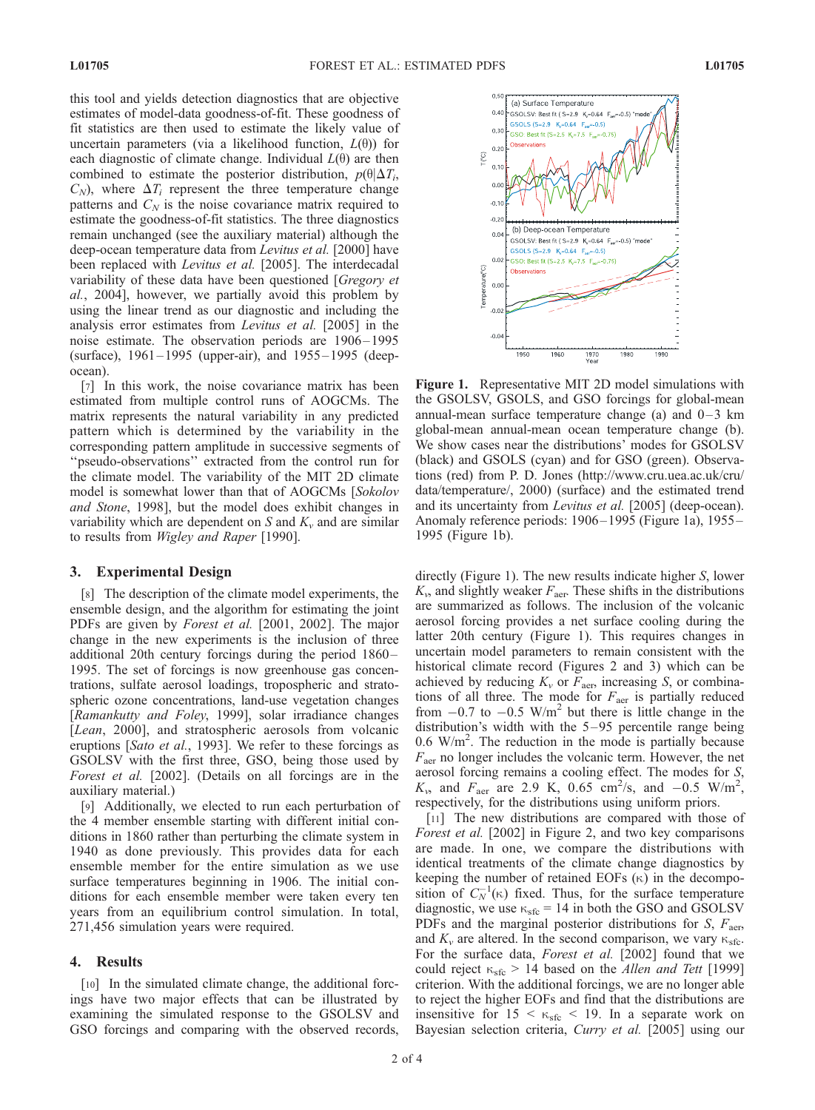this tool and yields detection diagnostics that are objective estimates of model-data goodness-of-fit. These goodness of fit statistics are then used to estimate the likely value of uncertain parameters (via a likelihood function,  $L(\theta)$ ) for each diagnostic of climate change. Individual  $L(\theta)$  are then combined to estimate the posterior distribution,  $p(\theta|\Delta T_i)$ ,  $C_N$ ), where  $\Delta T_i$  represent the three temperature change patterns and  $C_N$  is the noise covariance matrix required to estimate the goodness-of-fit statistics. The three diagnostics remain unchanged (see the auxiliary material) although the deep-ocean temperature data from *Levitus et al.* [2000] have been replaced with Levitus et al. [2005]. The interdecadal variability of these data have been questioned [*Gregory et* al., 2004], however, we partially avoid this problem by using the linear trend as our diagnostic and including the analysis error estimates from Levitus et al. [2005] in the noise estimate. The observation periods are 1906–1995 (surface), 1961–1995 (upper-air), and 1955–1995 (deepocean).

[7] In this work, the noise covariance matrix has been estimated from multiple control runs of AOGCMs. The matrix represents the natural variability in any predicted pattern which is determined by the variability in the corresponding pattern amplitude in successive segments of ''pseudo-observations'' extracted from the control run for the climate model. The variability of the MIT 2D climate model is somewhat lower than that of AOGCMs [Sokolov and Stone, 1998], but the model does exhibit changes in variability which are dependent on S and  $K_v$  and are similar to results from Wigley and Raper [1990].

## 3. Experimental Design

[8] The description of the climate model experiments, the ensemble design, and the algorithm for estimating the joint PDFs are given by *Forest et al.* [2001, 2002]. The major change in the new experiments is the inclusion of three additional 20th century forcings during the period 1860-1995. The set of forcings is now greenhouse gas concentrations, sulfate aerosol loadings, tropospheric and stratospheric ozone concentrations, land-use vegetation changes [Ramankutty and Foley, 1999], solar irradiance changes [Lean, 2000], and stratospheric aerosols from volcanic eruptions [Sato et al., 1993]. We refer to these forcings as GSOLSV with the first three, GSO, being those used by Forest et al. [2002]. (Details on all forcings are in the auxiliary material.)

[9] Additionally, we elected to run each perturbation of the 4 member ensemble starting with different initial conditions in 1860 rather than perturbing the climate system in 1940 as done previously. This provides data for each ensemble member for the entire simulation as we use surface temperatures beginning in 1906. The initial conditions for each ensemble member were taken every ten years from an equilibrium control simulation. In total, 271,456 simulation years were required.

#### 4. Results

[10] In the simulated climate change, the additional forcings have two major effects that can be illustrated by examining the simulated response to the GSOLSV and GSO forcings and comparing with the observed records,



Figure 1. Representative MIT 2D model simulations with the GSOLSV, GSOLS, and GSO forcings for global-mean annual-mean surface temperature change (a) and  $0-3$  km global-mean annual-mean ocean temperature change (b). We show cases near the distributions' modes for GSOLSV (black) and GSOLS (cyan) and for GSO (green). Observations (red) from P. D. Jones (http://www.cru.uea.ac.uk/cru/ data/temperature/, 2000) (surface) and the estimated trend and its uncertainty from *Levitus et al.* [2005] (deep-ocean). Anomaly reference periods: 1906 – 1995 (Figure 1a), 1955– 1995 (Figure 1b).

directly (Figure 1). The new results indicate higher S, lower  $K_{\nu}$ , and slightly weaker  $F_{\text{aer}}$ . These shifts in the distributions are summarized as follows. The inclusion of the volcanic aerosol forcing provides a net surface cooling during the latter 20th century (Figure 1). This requires changes in uncertain model parameters to remain consistent with the historical climate record (Figures 2 and 3) which can be achieved by reducing  $K_v$  or  $F_{\text{aer}}$ , increasing S, or combinations of all three. The mode for  $F_{\text{aer}}$  is partially reduced from  $-0.7$  to  $-0.5$  W/m<sup>2</sup> but there is little change in the distribution's width with the  $5-95$  percentile range being  $0.6 \text{ W/m}^2$ . The reduction in the mode is partially because  $F_{\text{aer}}$  no longer includes the volcanic term. However, the net aerosol forcing remains a cooling effect. The modes for S,  $K_v$ , and  $F_{\text{aer}}$  are 2.9 K, 0.65 cm<sup>2</sup>/s, and -0.5 W/m<sup>2</sup>, respectively, for the distributions using uniform priors.

[11] The new distributions are compared with those of Forest et al. [2002] in Figure 2, and two key comparisons are made. In one, we compare the distributions with identical treatments of the climate change diagnostics by keeping the number of retained EOFs  $(\kappa)$  in the decomposition of  $C_N^{-1}(\kappa)$  fixed. Thus, for the surface temperature diagnostic, we use  $\kappa_{\rm sfc}$  = 14 in both the GSO and GSOLSV PDFs and the marginal posterior distributions for  $S$ ,  $F_{\text{a}ep}$ and  $K_v$  are altered. In the second comparison, we vary  $\kappa_{\text{sfc}}$ . For the surface data, Forest et al. [2002] found that we could reject  $\kappa_{\rm sfc} > 14$  based on the *Allen and Tett* [1999] criterion. With the additional forcings, we are no longer able to reject the higher EOFs and find that the distributions are insensitive for  $15 < \kappa_{\text{sfc}} < 19$ . In a separate work on Bayesian selection criteria, Curry et al. [2005] using our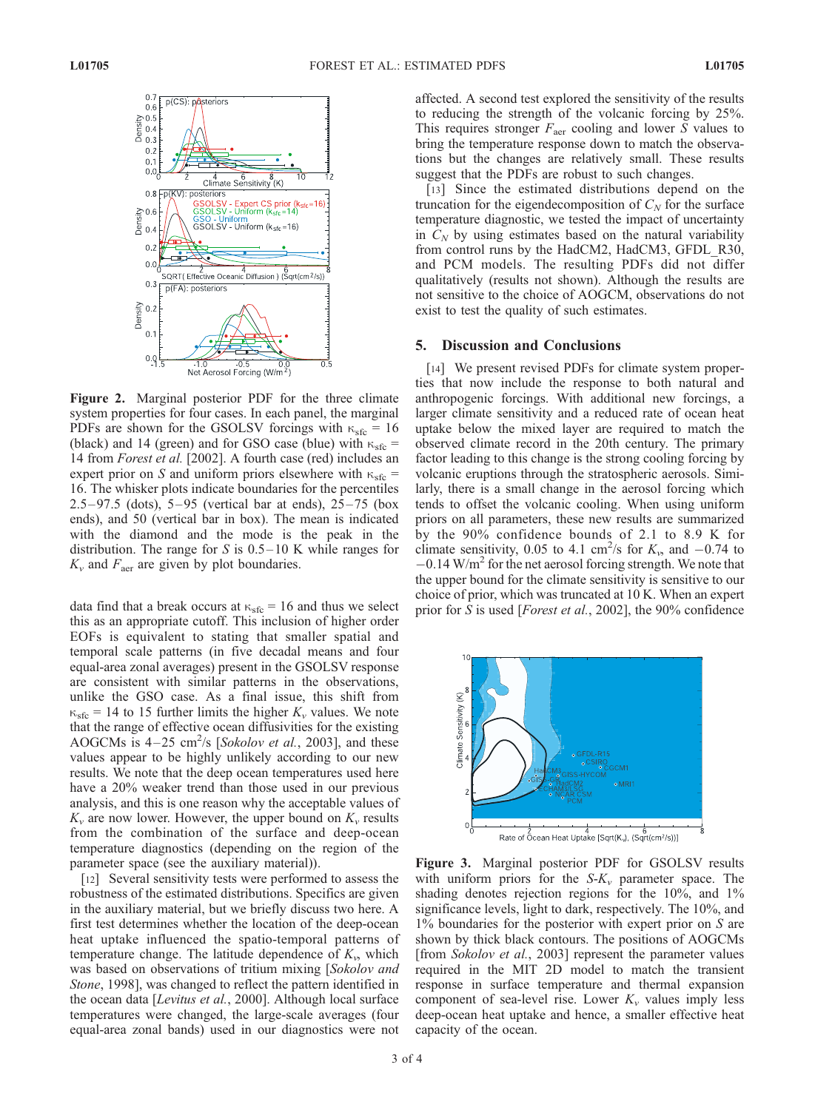

Figure 2. Marginal posterior PDF for the three climate system properties for four cases. In each panel, the marginal PDFs are shown for the GSOLSV forcings with  $\kappa_{\rm sfc} = 16$ (black) and 14 (green) and for GSO case (blue) with  $\kappa_{\rm sfc}$  = 14 from Forest et al. [2002]. A fourth case (red) includes an expert prior on S and uniform priors elsewhere with  $\kappa_{\rm sfc}$  = 16. The whisker plots indicate boundaries for the percentiles 2.5–97.5 (dots),  $5-95$  (vertical bar at ends),  $25-75$  (box ends), and 50 (vertical bar in box). The mean is indicated with the diamond and the mode is the peak in the distribution. The range for  $S$  is  $0.5-10$  K while ranges for  $K_v$  and  $F_{\text{aer}}$  are given by plot boundaries.

data find that a break occurs at  $\kappa_{\rm sfc} = 16$  and thus we select this as an appropriate cutoff. This inclusion of higher order EOFs is equivalent to stating that smaller spatial and temporal scale patterns (in five decadal means and four equal-area zonal averages) present in the GSOLSV response are consistent with similar patterns in the observations, unlike the GSO case. As a final issue, this shift from  $\kappa_{\rm sfc}$  = 14 to 15 further limits the higher  $K_v$  values. We note that the range of effective ocean diffusivities for the existing AOGCMs is  $4-25$  cm<sup>2</sup>/s [Sokolov et al., 2003], and these values appear to be highly unlikely according to our new results. We note that the deep ocean temperatures used here have a 20% weaker trend than those used in our previous analysis, and this is one reason why the acceptable values of  $K_v$  are now lower. However, the upper bound on  $K_v$  results from the combination of the surface and deep-ocean temperature diagnostics (depending on the region of the parameter space (see the auxiliary material)).

[12] Several sensitivity tests were performed to assess the robustness of the estimated distributions. Specifics are given in the auxiliary material, but we briefly discuss two here. A first test determines whether the location of the deep-ocean heat uptake influenced the spatio-temporal patterns of temperature change. The latitude dependence of  $K_{\nu}$ , which was based on observations of tritium mixing [Sokolov and Stone, 1998], was changed to reflect the pattern identified in the ocean data [Levitus et al., 2000]. Although local surface temperatures were changed, the large-scale averages (four equal-area zonal bands) used in our diagnostics were not

affected. A second test explored the sensitivity of the results to reducing the strength of the volcanic forcing by 25%. This requires stronger  $F_{\text{aer}}$  cooling and lower S values to bring the temperature response down to match the observations but the changes are relatively small. These results suggest that the PDFs are robust to such changes.

[13] Since the estimated distributions depend on the truncation for the eigendecomposition of  $C_N$  for the surface temperature diagnostic, we tested the impact of uncertainty in  $C_N$  by using estimates based on the natural variability from control runs by the HadCM2, HadCM3, GFDL\_R30, and PCM models. The resulting PDFs did not differ qualitatively (results not shown). Although the results are not sensitive to the choice of AOGCM, observations do not exist to test the quality of such estimates.

#### 5. Discussion and Conclusions

[14] We present revised PDFs for climate system properties that now include the response to both natural and anthropogenic forcings. With additional new forcings, a larger climate sensitivity and a reduced rate of ocean heat uptake below the mixed layer are required to match the observed climate record in the 20th century. The primary factor leading to this change is the strong cooling forcing by volcanic eruptions through the stratospheric aerosols. Similarly, there is a small change in the aerosol forcing which tends to offset the volcanic cooling. When using uniform priors on all parameters, these new results are summarized by the 90% confidence bounds of 2.1 to 8.9 K for climate sensitivity, 0.05 to 4.1 cm<sup>2</sup>/s for  $K_{v}$ , and  $-0.74$  to  $-0.14$  W/m<sup>2</sup> for the net aerosol forcing strength. We note that the upper bound for the climate sensitivity is sensitive to our choice of prior, which was truncated at 10 K. When an expert prior for S is used [*Forest et al.*, 2002], the 90% confidence



Figure 3. Marginal posterior PDF for GSOLSV results with uniform priors for the  $S-K_v$  parameter space. The shading denotes rejection regions for the 10%, and 1% significance levels, light to dark, respectively. The 10%, and 1% boundaries for the posterior with expert prior on S are shown by thick black contours. The positions of AOGCMs [from Sokolov et al., 2003] represent the parameter values required in the MIT 2D model to match the transient response in surface temperature and thermal expansion component of sea-level rise. Lower  $K_v$  values imply less deep-ocean heat uptake and hence, a smaller effective heat capacity of the ocean.